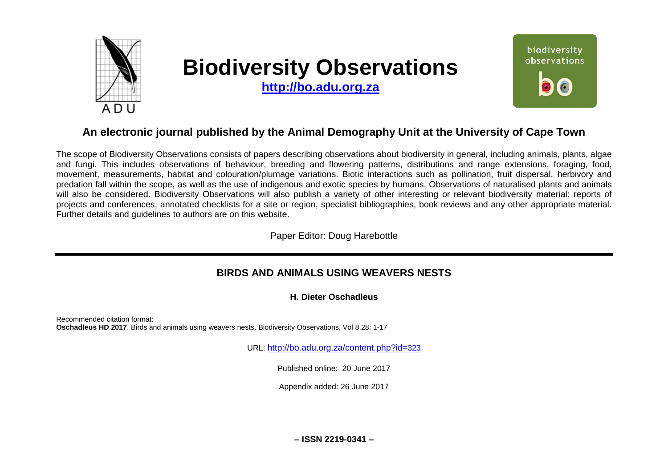

# **Biodiversity Observations**

**[http://bo.adu.org.za](http://bo.adu.org.za/)**



# **An electronic journal published by the Animal Demography Unit at the University of Cape Town**

The scope of Biodiversity Observations consists of papers describing observations about biodiversity in general, including animals, plants, algae and fungi. This includes observations of behaviour, breeding and flowering patterns, distributions and range extensions, foraging, food, movement, measurements, habitat and colouration/plumage variations. Biotic interactions such as pollination, fruit dispersal, herbivory and predation fall within the scope, as well as the use of indigenous and exotic species by humans. Observations of naturalised plants and animals will also be considered. Biodiversity Observations will also publish a variety of other interesting or relevant biodiversity material: reports of projects and conferences, annotated checklists for a site or region, specialist bibliographies, book reviews and any other appropriate material. Further details and guidelines to authors are on this website.

Paper Editor: Doug Harebottle

# **BIRDS AND ANIMALS USING WEAVERS NESTS**

# **H. Dieter Oschadleus**

Recommended citation format: **Oschadleus HD 2017**. Birds and animals using weavers nests. Biodiversity Observations, Vol 8.28: 1-17

URL: [http://bo.adu.org.za/content.php?id=](http://bo.adu.org.za/content.php?id=323)323

Published online: 20 June 2017

Appendix added: 26 June 2017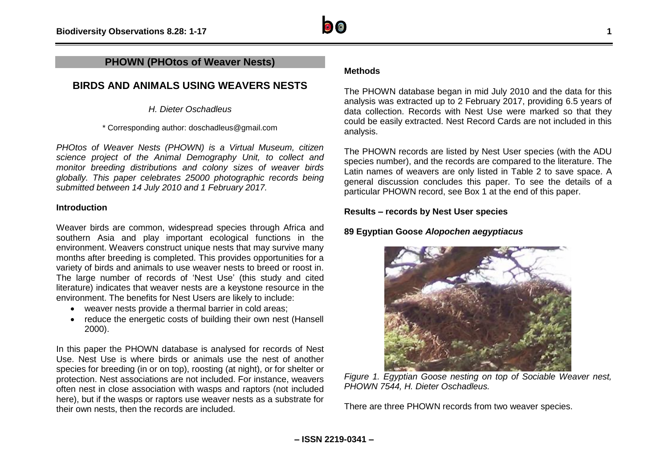# **PHOWN (PHOtos of Weaver Nests)**

# **BIRDS AND ANIMALS USING WEAVERS NESTS**

*H. Dieter Oschadleus*

\* Corresponding author: doschadleus@gmail.com

*PHOtos of Weaver Nests (PHOWN) is a Virtual Museum, citizen science project of the Animal Demography Unit, to collect and monitor breeding distributions and colony sizes of weaver birds globally. This paper celebrates 25000 photographic records being submitted between 14 July 2010 and 1 February 2017.*

# **Introduction**

Weaver birds are common, widespread species through Africa and southern Asia and play important ecological functions in the environment. Weavers construct unique nests that may survive many months after breeding is completed. This provides opportunities for a variety of birds and animals to use weaver nests to breed or roost in. The large number of records of 'Nest Use' (this study and cited literature) indicates that weaver nests are a keystone resource in the environment. The benefits for Nest Users are likely to include:

- weaver nests provide a thermal barrier in cold areas;
- reduce the energetic costs of building their own nest (Hansell 2000).

In this paper the PHOWN database is analysed for records of Nest Use. Nest Use is where birds or animals use the nest of another species for breeding (in or on top), roosting (at night), or for shelter or protection. Nest associations are not included. For instance, weavers often nest in close association with wasps and raptors (not included here), but if the wasps or raptors use weaver nests as a substrate for their own nests, then the records are included.

# **Methods**

The PHOWN database began in mid July 2010 and the data for this analysis was extracted up to 2 February 2017, providing 6.5 years of data collection. Records with Nest Use were marked so that they could be easily extracted. Nest Record Cards are not included in this analysis.

The PHOWN records are listed by Nest User species (with the ADU species number), and the records are compared to the literature. The Latin names of weavers are only listed in Table 2 to save space. A general discussion concludes this paper. To see the details of a particular PHOWN record, see Box 1 at the end of this paper.

# **Results – records by Nest User species**

# **89 Egyptian Goose** *Alopochen aegyptiacus*



*Figure 1. Egyptian Goose nesting on top of Sociable Weaver nest, PHOWN 7544, H. Dieter Oschadleus.*

There are three PHOWN records from two weaver species.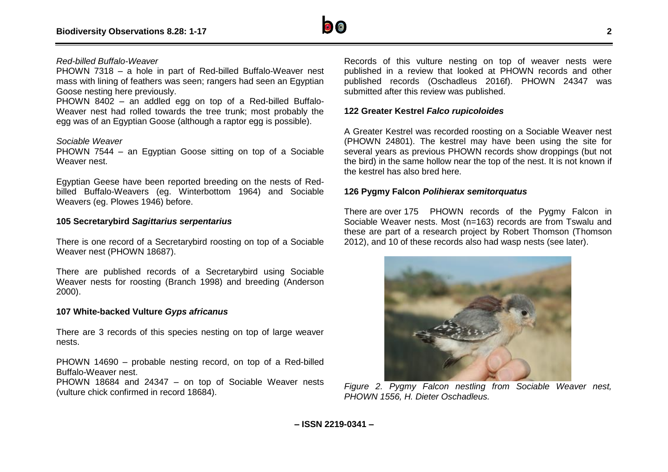

# *Red-billed Buffalo-Weaver*

PHOWN 7318 – a hole in part of Red-billed Buffalo-Weaver nest mass with lining of feathers was seen; rangers had seen an Egyptian Goose nesting here previously.

PHOWN 8402 – an addled egg on top of a Red-billed Buffalo-Weaver nest had rolled towards the tree trunk; most probably the egg was of an Egyptian Goose (although a raptor egg is possible).

#### *Sociable Weaver*

PHOWN 7544 – an Egyptian Goose sitting on top of a Sociable Weaver nest.

Egyptian Geese have been reported breeding on the nests of Redbilled Buffalo-Weavers (eg. Winterbottom 1964) and Sociable Weavers (eg. Plowes 1946) before.

#### **105 Secretarybird** *Sagittarius serpentarius*

There is one record of a Secretarybird roosting on top of a Sociable Weaver nest (PHOWN 18687).

There are published records of a Secretarybird using Sociable Weaver nests for roosting (Branch 1998) and breeding (Anderson 2000).

#### **107 White-backed Vulture** *Gyps africanus*

There are 3 records of this species nesting on top of large weaver nests.

PHOWN 14690 – probable nesting record, on top of a Red-billed Buffalo-Weaver nest.

PHOWN 18684 and 24347 – on top of Sociable Weaver nests (vulture chick confirmed in record 18684).

Records of this vulture nesting on top of weaver nests were published in a review that looked at PHOWN records and other published records (Oschadleus 2016f). PHOWN 24347 was submitted after this review was published.

#### **122 Greater Kestrel** *Falco rupicoloides*

A Greater Kestrel was recorded roosting on a Sociable Weaver nest (PHOWN 24801). The kestrel may have been using the site for several years as previous PHOWN records show droppings (but not the bird) in the same hollow near the top of the nest. It is not known if the kestrel has also bred here.

#### **126 Pygmy Falcon** *Polihierax semitorquatus*

There are over 175 PHOWN records of the Pygmy Falcon in Sociable Weaver nests. Most (n=163) records are from Tswalu and these are part of a research project by Robert Thomson (Thomson 2012), and 10 of these records also had wasp nests (see later).



*Figure 2. Pygmy Falcon nestling from Sociable Weaver nest, PHOWN 1556, H. Dieter Oschadleus.*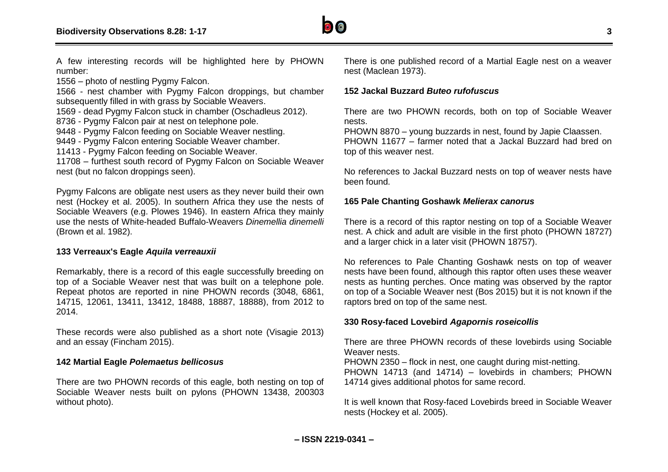

A few interesting records will be highlighted here by PHOWN number:

1556 – photo of nestling Pygmy Falcon.

1566 - nest chamber with Pygmy Falcon droppings, but chamber subsequently filled in with grass by Sociable Weavers.

1569 - dead Pygmy Falcon stuck in chamber (Oschadleus 2012).

8736 - Pygmy Falcon pair at nest on telephone pole.

9448 - Pygmy Falcon feeding on Sociable Weaver nestling.

9449 - Pygmy Falcon entering Sociable Weaver chamber.

11413 - Pygmy Falcon feeding on Sociable Weaver.

11708 – furthest south record of Pygmy Falcon on Sociable Weaver nest (but no falcon droppings seen).

Pygmy Falcons are obligate nest users as they never build their own nest (Hockey et al. 2005). In southern Africa they use the nests of Sociable Weavers (e.g. Plowes 1946). In eastern Africa they mainly use the nests of White-headed Buffalo-Weavers *Dinemellia dinemelli* (Brown et al. 1982).

#### **133 Verreaux's Eagle** *Aquila verreauxii*

Remarkably, there is a record of this eagle successfully breeding on top of a Sociable Weaver nest that was built on a telephone pole. Repeat photos are reported in nine PHOWN records (3048, 6861, 14715, 12061, 13411, 13412, 18488, 18887, 18888), from 2012 to 2014.

These records were also published as a short note (Visagie 2013) and an essay (Fincham 2015).

#### **142 Martial Eagle** *Polemaetus bellicosus*

There are two PHOWN records of this eagle, both nesting on top of Sociable Weaver nests built on pylons (PHOWN 13438, 200303 without photo).

There is one published record of a Martial Eagle nest on a weaver nest (Maclean 1973).

#### **152 Jackal Buzzard** *Buteo rufofuscus*

There are two PHOWN records, both on top of Sociable Weaver nests.

PHOWN 8870 – young buzzards in nest, found by Japie Claassen. PHOWN 11677 – farmer noted that a Jackal Buzzard had bred on top of this weaver nest.

No references to Jackal Buzzard nests on top of weaver nests have been found.

#### **165 Pale Chanting Goshawk** *Melierax canorus*

There is a record of this raptor nesting on top of a Sociable Weaver nest. A chick and adult are visible in the first photo (PHOWN 18727) and a larger chick in a later visit (PHOWN 18757).

No references to Pale Chanting Goshawk nests on top of weaver nests have been found, although this raptor often uses these weaver nests as hunting perches. Once mating was observed by the raptor on top of a Sociable Weaver nest (Bos 2015) but it is not known if the raptors bred on top of the same nest.

#### **330 Rosy-faced Lovebird** *Agapornis roseicollis*

There are three PHOWN records of these lovebirds using Sociable Weaver nests.

PHOWN 2350 – flock in nest, one caught during mist-netting. PHOWN 14713 (and 14714) – lovebirds in chambers; PHOWN 14714 gives additional photos for same record.

It is well known that Rosy-faced Lovebirds breed in Sociable Weaver nests (Hockey et al. 2005).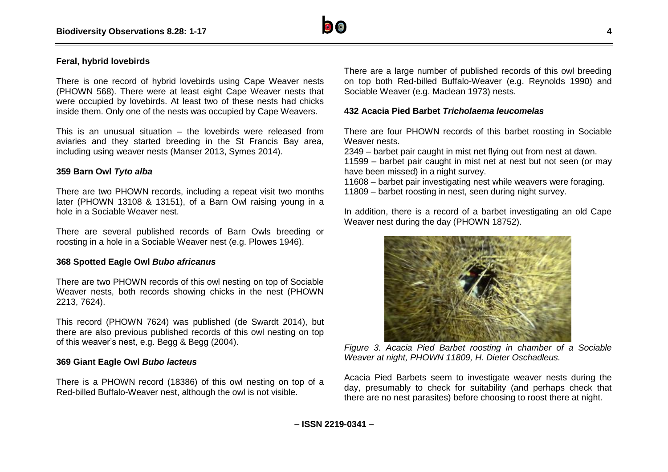

# **Feral, hybrid lovebirds**

There is one record of hybrid lovebirds using Cape Weaver nests (PHOWN 568). There were at least eight Cape Weaver nests that were occupied by lovebirds. At least two of these nests had chicks inside them. Only one of the nests was occupied by Cape Weavers.

This is an unusual situation – the lovebirds were released from aviaries and they started breeding in the St Francis Bay area, including using weaver nests (Manser 2013, Symes 2014).

#### **359 Barn Owl** *Tyto alba*

There are two PHOWN records, including a repeat visit two months later (PHOWN 13108 & 13151), of a Barn Owl raising young in a hole in a Sociable Weaver nest.

There are several published records of Barn Owls breeding or roosting in a hole in a Sociable Weaver nest (e.g. Plowes 1946).

#### **368 Spotted Eagle Owl** *Bubo africanus*

There are two PHOWN records of this owl nesting on top of Sociable Weaver nests, both records showing chicks in the nest (PHOWN 2213, 7624).

This record (PHOWN 7624) was published (de Swardt 2014), but there are also previous published records of this owl nesting on top of this weaver's nest, e.g. Begg & Begg (2004).

#### **369 Giant Eagle Owl** *Bubo lacteus*

There is a PHOWN record (18386) of this owl nesting on top of a Red-billed Buffalo-Weaver nest, although the owl is not visible.

There are a large number of published records of this owl breeding on top both Red-billed Buffalo-Weaver (e.g. Reynolds 1990) and Sociable Weaver (e.g. Maclean 1973) nests.

#### **432 Acacia Pied Barbet** *Tricholaema leucomelas*

There are four PHOWN records of this barbet roosting in Sociable Weaver nests.

2349 – barbet pair caught in mist net flying out from nest at dawn. 11599 – barbet pair caught in mist net at nest but not seen (or may have been missed) in a night survey.

11608 – barbet pair investigating nest while weavers were foraging. 11809 – barbet roosting in nest, seen during night survey.

In addition, there is a record of a barbet investigating an old Cape Weaver nest during the day (PHOWN 18752).



*Figure 3. Acacia Pied Barbet roosting in chamber of a Sociable Weaver at night, PHOWN 11809, H. Dieter Oschadleus.*

Acacia Pied Barbets seem to investigate weaver nests during the day, presumably to check for suitability (and perhaps check that there are no nest parasites) before choosing to roost there at night.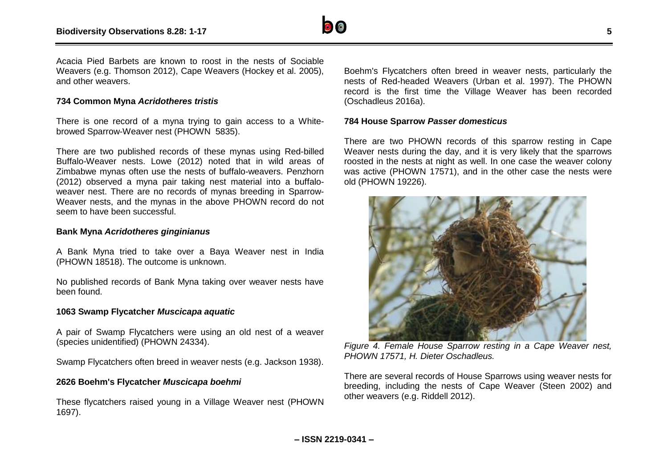

Acacia Pied Barbets are known to roost in the nests of Sociable Weavers (e.g. Thomson 2012), Cape Weavers (Hockey et al. 2005), and other weavers.

# **734 Common Myna** *Acridotheres tristis*

There is one record of a myna trying to gain access to a Whitebrowed Sparrow-Weaver nest (PHOWN 5835).

There are two published records of these mynas using Red-billed Buffalo-Weaver nests. Lowe (2012) noted that in wild areas of Zimbabwe mynas often use the nests of buffalo-weavers. Penzhorn (2012) observed a myna pair taking nest material into a buffaloweaver nest. There are no records of mynas breeding in Sparrow-Weaver nests, and the mynas in the above PHOWN record do not seem to have been successful.

#### **Bank Myna** *Acridotheres ginginianus*

A Bank Myna tried to take over a Baya Weaver nest in India (PHOWN 18518). The outcome is unknown.

No published records of Bank Myna taking over weaver nests have been found.

# **1063 Swamp Flycatcher** *Muscicapa aquatic*

A pair of Swamp Flycatchers were using an old nest of a weaver (species unidentified) (PHOWN 24334).

Swamp Flycatchers often breed in weaver nests (e.g. Jackson 1938).

# **2626 Boehm's Flycatcher** *Muscicapa boehmi*

These flycatchers raised young in a Village Weaver nest (PHOWN 1697).

Boehm's Flycatchers often breed in weaver nests, particularly the nests of Red-headed Weavers (Urban et al. 1997). The PHOWN record is the first time the Village Weaver has been recorded (Oschadleus 2016a).

# **784 House Sparrow** *Passer domesticus*

There are two PHOWN records of this sparrow resting in Cape Weaver nests during the day, and it is very likely that the sparrows roosted in the nests at night as well. In one case the weaver colony was active (PHOWN 17571), and in the other case the nests were old (PHOWN 19226).



*Figure 4. Female House Sparrow resting in a Cape Weaver nest, PHOWN 17571, H. Dieter Oschadleus.*

There are several records of House Sparrows using weaver nests for breeding, including the nests of Cape Weaver (Steen 2002) and other weavers (e.g. Riddell 2012).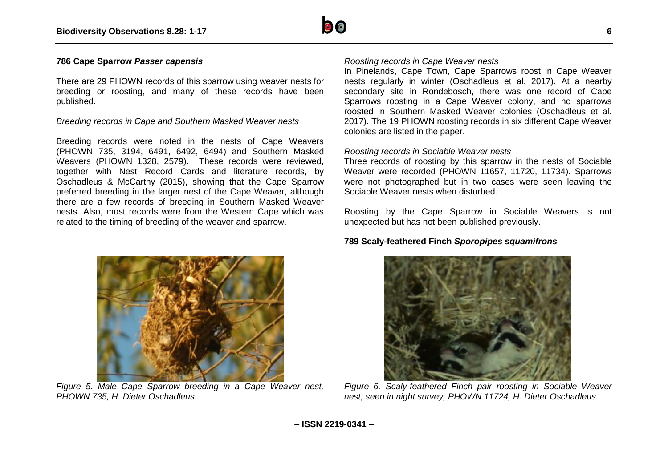

# **786 Cape Sparrow** *Passer capensis*

There are 29 PHOWN records of this sparrow using weaver nests for breeding or roosting, and many of these records have been published.

#### *Breeding records in Cape and Southern Masked Weaver nests*

Breeding records were noted in the nests of Cape Weavers (PHOWN 735, 3194, 6491, 6492, 6494) and Southern Masked Weavers (PHOWN 1328, 2579). These records were reviewed, together with Nest Record Cards and literature records, by Oschadleus & McCarthy (2015), showing that the Cape Sparrow preferred breeding in the larger nest of the Cape Weaver, although there are a few records of breeding in Southern Masked Weaver nests. Also, most records were from the Western Cape which was related to the timing of breeding of the weaver and sparrow.

# *Roosting records in Cape Weaver nests*

In Pinelands, Cape Town, Cape Sparrows roost in Cape Weaver nests regularly in winter (Oschadleus et al. 2017). At a nearby secondary site in Rondebosch, there was one record of Cape Sparrows roosting in a Cape Weaver colony, and no sparrows roosted in Southern Masked Weaver colonies (Oschadleus et al. 2017). The 19 PHOWN roosting records in six different Cape Weaver colonies are listed in the paper.

#### *Roosting records in Sociable Weaver nests*

Three records of roosting by this sparrow in the nests of Sociable Weaver were recorded (PHOWN 11657, 11720, 11734). Sparrows were not photographed but in two cases were seen leaving the Sociable Weaver nests when disturbed.

Roosting by the Cape Sparrow in Sociable Weavers is not unexpected but has not been published previously.

#### **789 Scaly-feathered Finch** *Sporopipes squamifrons*



*Figure 5. Male Cape Sparrow breeding in a Cape Weaver nest, PHOWN 735, H. Dieter Oschadleus.*



*Figure 6. Scaly-feathered Finch pair roosting in Sociable Weaver nest, seen in night survey, PHOWN 11724, H. Dieter Oschadleus.*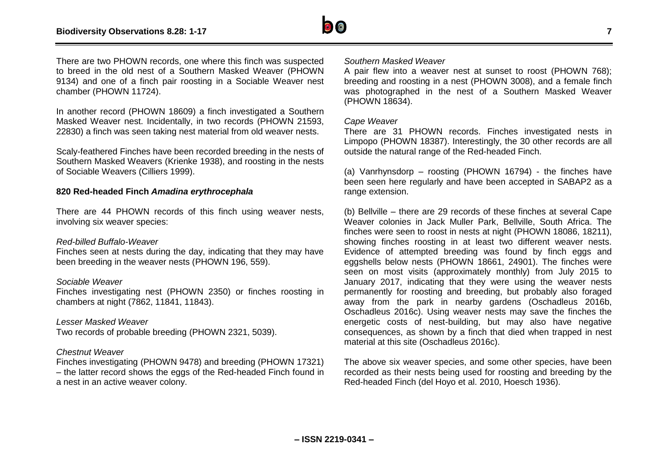

There are two PHOWN records, one where this finch was suspected to breed in the old nest of a Southern Masked Weaver (PHOWN 9134) and one of a finch pair roosting in a Sociable Weaver nest chamber (PHOWN 11724).

In another record (PHOWN 18609) a finch investigated a Southern Masked Weaver nest. Incidentally, in two records (PHOWN 21593, 22830) a finch was seen taking nest material from old weaver nests.

Scaly-feathered Finches have been recorded breeding in the nests of Southern Masked Weavers (Krienke 1938), and roosting in the nests of Sociable Weavers (Cilliers 1999).

# **820 Red-headed Finch** *Amadina erythrocephala*

There are 44 PHOWN records of this finch using weaver nests, involving six weaver species:

#### *Red-billed Buffalo-Weaver*

Finches seen at nests during the day, indicating that they may have been breeding in the weaver nests (PHOWN 196, 559).

#### *Sociable Weaver*

Finches investigating nest (PHOWN 2350) or finches roosting in chambers at night (7862, 11841, 11843).

#### *Lesser Masked Weaver*

Two records of probable breeding (PHOWN 2321, 5039).

#### *Chestnut Weaver*

Finches investigating (PHOWN 9478) and breeding (PHOWN 17321) – the latter record shows the eggs of the Red-headed Finch found in a nest in an active weaver colony.

#### *Southern Masked Weaver*

A pair flew into a weaver nest at sunset to roost (PHOWN 768); breeding and roosting in a nest (PHOWN 3008), and a female finch was photographed in the nest of a Southern Masked Weaver (PHOWN 18634).

#### *Cape Weaver*

There are 31 PHOWN records. Finches investigated nests in Limpopo (PHOWN 18387). Interestingly, the 30 other records are all outside the natural range of the Red-headed Finch.

(a) Vanrhynsdorp – roosting (PHOWN 16794) - the finches have been seen here regularly and have been accepted in SABAP2 as a range extension.

(b) Bellville – there are 29 records of these finches at several Cape Weaver colonies in Jack Muller Park, Bellville, South Africa. The finches were seen to roost in nests at night (PHOWN 18086, 18211), showing finches roosting in at least two different weaver nests. Evidence of attempted breeding was found by finch eggs and eggshells below nests (PHOWN 18661, 24901). The finches were seen on most visits (approximately monthly) from July 2015 to January 2017, indicating that they were using the weaver nests permanently for roosting and breeding, but probably also foraged away from the park in nearby gardens (Oschadleus 2016b, Oschadleus 2016c). Using weaver nests may save the finches the energetic costs of nest-building, but may also have negative consequences, as shown by a finch that died when trapped in nest material at this site (Oschadleus 2016c).

The above six weaver species, and some other species, have been recorded as their nests being used for roosting and breeding by the Red-headed Finch (del Hoyo et al. 2010, Hoesch 1936).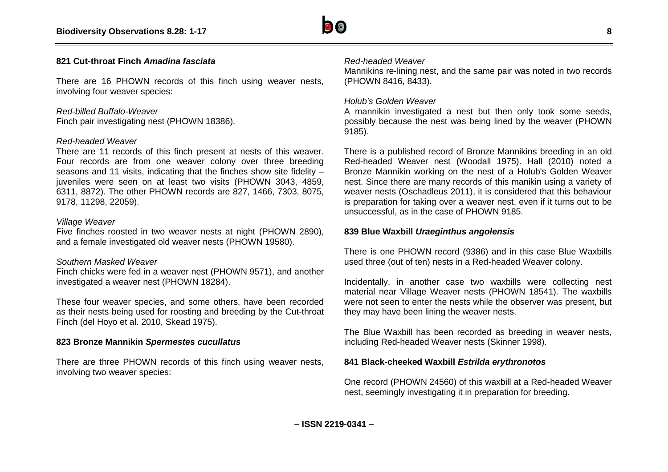

#### **821 Cut-throat Finch** *Amadina fasciata*

There are 16 PHOWN records of this finch using weaver nests, involving four weaver species:

# *Red-billed Buffalo-Weaver*

Finch pair investigating nest (PHOWN 18386).

#### *Red-headed Weaver*

There are 11 records of this finch present at nests of this weaver. Four records are from one weaver colony over three breeding seasons and 11 visits, indicating that the finches show site fidelity – juveniles were seen on at least two visits (PHOWN 3043, 4859, 6311, 8872). The other PHOWN records are 827, 1466, 7303, 8075, 9178, 11298, 22059).

#### *Village Weaver*

Five finches roosted in two weaver nests at night (PHOWN 2890), and a female investigated old weaver nests (PHOWN 19580).

#### *Southern Masked Weaver*

Finch chicks were fed in a weaver nest (PHOWN 9571), and another investigated a weaver nest (PHOWN 18284).

These four weaver species, and some others, have been recorded as their nests being used for roosting and breeding by the Cut-throat Finch (del Hoyo et al. 2010, Skead 1975).

# **823 Bronze Mannikin** *Spermestes cucullatus*

There are three PHOWN records of this finch using weaver nests, involving two weaver species:

#### *Red-headed Weaver*

Mannikins re-lining nest, and the same pair was noted in two records (PHOWN 8416, 8433).

### *Holub's Golden Weaver*

A mannikin investigated a nest but then only took some seeds, possibly because the nest was being lined by the weaver (PHOWN 9185).

There is a published record of Bronze Mannikins breeding in an old Red-headed Weaver nest (Woodall 1975). Hall (2010) noted a Bronze Mannikin working on the nest of a Holub's Golden Weaver nest. Since there are many records of this manikin using a variety of weaver nests (Oschadleus 2011), it is considered that this behaviour is preparation for taking over a weaver nest, even if it turns out to be unsuccessful, as in the case of PHOWN 9185.

#### **839 Blue Waxbill** *Uraeginthus angolensis*

There is one PHOWN record (9386) and in this case Blue Waxbills used three (out of ten) nests in a Red-headed Weaver colony.

Incidentally, in another case two waxbills were collecting nest material near Village Weaver nests (PHOWN 18541). The waxbills were not seen to enter the nests while the observer was present, but they may have been lining the weaver nests.

The Blue Waxbill has been recorded as breeding in weaver nests, including Red-headed Weaver nests (Skinner 1998).

#### **841 Black-cheeked Waxbill** *Estrilda erythronotos*

One record (PHOWN 24560) of this waxbill at a Red-headed Weaver nest, seemingly investigating it in preparation for breeding.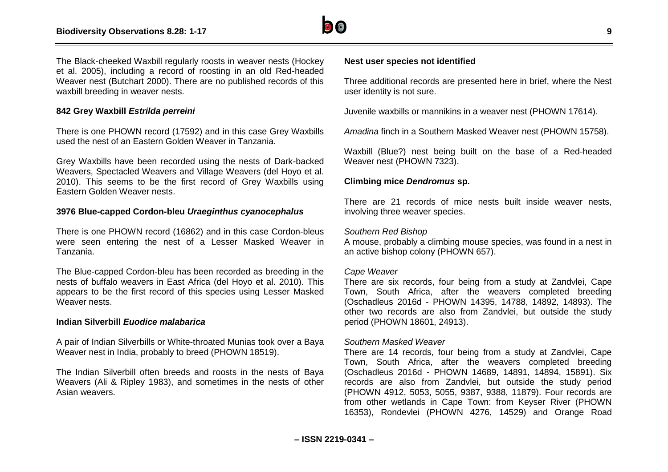

The Black-cheeked Waxbill regularly roosts in weaver nests (Hockey et al. 2005), including a record of roosting in an old Red-headed Weaver nest (Butchart 2000). There are no published records of this waxbill breeding in weaver nests.

# **842 Grey Waxbill** *Estrilda perreini*

There is one PHOWN record (17592) and in this case Grey Waxbills used the nest of an Eastern Golden Weaver in Tanzania.

Grey Waxbills have been recorded using the nests of Dark-backed Weavers, Spectacled Weavers and Village Weavers (del Hoyo et al. 2010). This seems to be the first record of Grey Waxbills using Eastern Golden Weaver nests.

#### **3976 Blue-capped Cordon-bleu** *Uraeginthus cyanocephalus*

There is one PHOWN record (16862) and in this case Cordon-bleus were seen entering the nest of a Lesser Masked Weaver in Tanzania.

The Blue-capped Cordon-bleu has been recorded as breeding in the nests of buffalo weavers in East Africa (del Hoyo et al. 2010). This appears to be the first record of this species using Lesser Masked Weaver nests.

#### **Indian Silverbill** *Euodice malabarica*

A pair of Indian Silverbills or White-throated Munias took over a Baya Weaver nest in India, probably to breed (PHOWN 18519).

The Indian Silverbill often breeds and roosts in the nests of Baya Weavers (Ali & Ripley 1983), and sometimes in the nests of other Asian weavers.

# **Nest user species not identified**

Three additional records are presented here in brief, where the Nest user identity is not sure.

Juvenile waxbills or mannikins in a weaver nest (PHOWN 17614).

*Amadina* finch in a Southern Masked Weaver nest (PHOWN 15758).

Waxbill (Blue?) nest being built on the base of a Red-headed Weaver nest (PHOWN 7323).

#### **Climbing mice** *Dendromus* **sp.**

There are 21 records of mice nests built inside weaver nests, involving three weaver species.

#### *Southern Red Bishop*

A mouse, probably a climbing mouse species, was found in a nest in an active bishop colony (PHOWN 657).

#### *Cape Weaver*

There are six records, four being from a study at Zandvlei, Cape Town, South Africa, after the weavers completed breeding (Oschadleus 2016d - PHOWN 14395, 14788, 14892, 14893). The other two records are also from Zandvlei, but outside the study period (PHOWN 18601, 24913).

#### *Southern Masked Weaver*

There are 14 records, four being from a study at Zandvlei, Cape Town, South Africa, after the weavers completed breeding (Oschadleus 2016d - PHOWN 14689, 14891, 14894, 15891). Six records are also from Zandvlei, but outside the study period (PHOWN 4912, 5053, 5055, 9387, 9388, 11879). Four records are from other wetlands in Cape Town: from Keyser River (PHOWN 16353), Rondevlei (PHOWN 4276, 14529) and Orange Road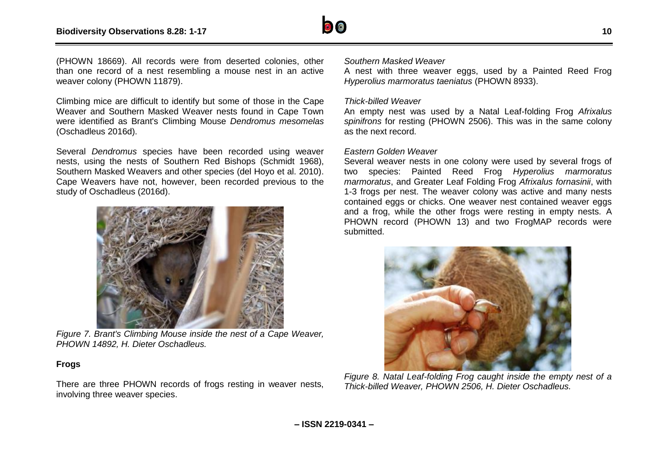

(PHOWN 18669). All records were from deserted colonies, other than one record of a nest resembling a mouse nest in an active weaver colony (PHOWN 11879).

Climbing mice are difficult to identify but some of those in the Cape Weaver and Southern Masked Weaver nests found in Cape Town were identified as Brant's Climbing Mouse *Dendromus mesomelas* (Oschadleus 2016d).

Several *Dendromus* species have been recorded using weaver nests, using the nests of Southern Red Bishops (Schmidt 1968), Southern Masked Weavers and other species (del Hoyo et al. 2010). Cape Weavers have not, however, been recorded previous to the study of Oschadleus (2016d).



*Figure 7. Brant's Climbing Mouse inside the nest of a Cape Weaver, PHOWN 14892, H. Dieter Oschadleus.*

# **Frogs**

There are three PHOWN records of frogs resting in weaver nests, involving three weaver species.

#### *Southern Masked Weaver*

A nest with three weaver eggs, used by a Painted Reed Frog *Hyperolius marmoratus taeniatus* (PHOWN 8933).

#### *Thick-billed Weaver*

An empty nest was used by a Natal Leaf-folding Frog *Afrixalus spinifrons* for resting (PHOWN 2506). This was in the same colony as the next record.

#### *Eastern Golden Weaver*

Several weaver nests in one colony were used by several frogs of two species: Painted Reed Frog *Hyperolius marmoratus marmoratus*, and Greater Leaf Folding Frog *Afrixalus fornasinii*, with 1-3 frogs per nest. The weaver colony was active and many nests contained eggs or chicks. One weaver nest contained weaver eggs and a frog, while the other frogs were resting in empty nests. A PHOWN record (PHOWN 13) and two FrogMAP records were submitted.



*Figure 8. Natal Leaf-folding Frog caught inside the empty nest of a Thick-billed Weaver, PHOWN 2506, H. Dieter Oschadleus.*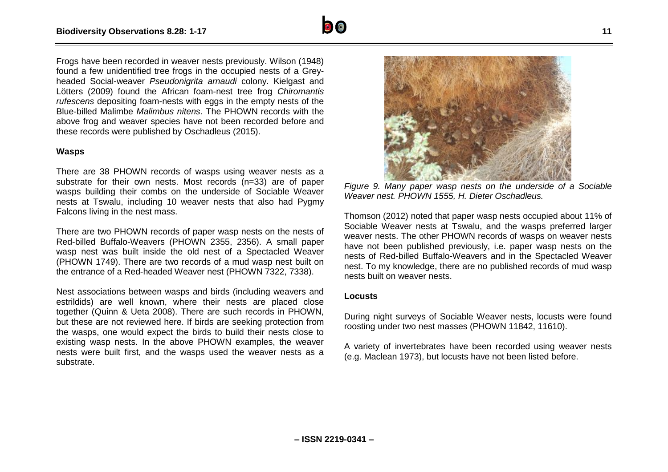Frogs have been recorded in weaver nests previously. Wilson (1948) found a few unidentified tree frogs in the occupied nests of a Greyheaded Social-weaver *Pseudonigrita arnaudi* colony. Kielgast and Lötters (2009) found the African foam-nest tree frog *Chiromantis rufescens* depositing foam-nests with eggs in the empty nests of the Blue-billed Malimbe *Malimbus nitens*. The PHOWN records with the above frog and weaver species have not been recorded before and these records were published by Oschadleus (2015).

#### **Wasps**

There are 38 PHOWN records of wasps using weaver nests as a substrate for their own nests. Most records (n=33) are of paper wasps building their combs on the underside of Sociable Weaver nests at Tswalu, including 10 weaver nests that also had Pygmy Falcons living in the nest mass.

There are two PHOWN records of paper wasp nests on the nests of Red-billed Buffalo-Weavers (PHOWN 2355, 2356). A small paper wasp nest was built inside the old nest of a Spectacled Weaver (PHOWN 1749). There are two records of a mud wasp nest built on the entrance of a Red-headed Weaver nest (PHOWN 7322, 7338).

Nest associations between wasps and birds (including weavers and estrildids) are well known, where their nests are placed close together (Quinn & Ueta 2008). There are such records in PHOWN, but these are not reviewed here. If birds are seeking protection from the wasps, one would expect the birds to build their nests close to existing wasp nests. In the above PHOWN examples, the weaver nests were built first, and the wasps used the weaver nests as a substrate.



*Weaver nest. PHOWN 1555, H. Dieter Oschadleus.*

Thomson (2012) noted that paper wasp nests occupied about 11% of Sociable Weaver nests at Tswalu, and the wasps preferred larger weaver nests. The other PHOWN records of wasps on weaver nests have not been published previously, i.e. paper wasp nests on the nests of Red-billed Buffalo-Weavers and in the Spectacled Weaver nest. To my knowledge, there are no published records of mud wasp nests built on weaver nests.

#### **Locusts**

During night surveys of Sociable Weaver nests, locusts were found roosting under two nest masses (PHOWN 11842, 11610).

A variety of invertebrates have been recorded using weaver nests (e.g. Maclean 1973), but locusts have not been listed before.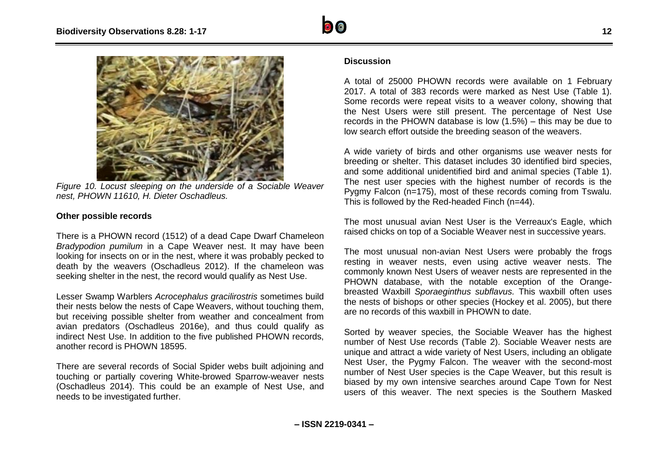

*Figure 10. Locust sleeping on the underside of a Sociable Weaver nest, PHOWN 11610, H. Dieter Oschadleus.*

# **Other possible records**

There is a PHOWN record (1512) of a dead Cape Dwarf Chameleon *Bradypodion pumilum* in a Cape Weaver nest. It may have been looking for insects on or in the nest, where it was probably pecked to death by the weavers (Oschadleus 2012). If the chameleon was seeking shelter in the nest, the record would qualify as Nest Use.

Lesser Swamp Warblers *Acrocephalus gracilirostris* sometimes build their nests below the nests of Cape Weavers, without touching them, but receiving possible shelter from weather and concealment from avian predators (Oschadleus 2016e), and thus could qualify as indirect Nest Use. In addition to the five published PHOWN records, another record is PHOWN 18595.

There are several records of Social Spider webs built adjoining and touching or partially covering White-browed Sparrow-weaver nests (Oschadleus 2014). This could be an example of Nest Use, and needs to be investigated further.

#### **Discussion**

A total of 25000 PHOWN records were available on 1 February 2017. A total of 383 records were marked as Nest Use (Table 1). Some records were repeat visits to a weaver colony, showing that the Nest Users were still present. The percentage of Nest Use records in the PHOWN database is low (1.5%) – this may be due to low search effort outside the breeding season of the weavers.

A wide variety of birds and other organisms use weaver nests for breeding or shelter. This dataset includes 30 identified bird species, and some additional unidentified bird and animal species (Table 1). The nest user species with the highest number of records is the Pygmy Falcon (n=175), most of these records coming from Tswalu. This is followed by the Red-headed Finch (n=44).

The most unusual avian Nest User is the Verreaux's Eagle, which raised chicks on top of a Sociable Weaver nest in successive years.

The most unusual non-avian Nest Users were probably the frogs resting in weaver nests, even using active weaver nests. The commonly known Nest Users of weaver nests are represented in the PHOWN database, with the notable exception of the Orangebreasted Waxbill *Sporaeginthus subflavus.* This waxbill often uses the nests of bishops or other species (Hockey et al. 2005), but there are no records of this waxbill in PHOWN to date.

Sorted by weaver species, the Sociable Weaver has the highest number of Nest Use records (Table 2). Sociable Weaver nests are unique and attract a wide variety of Nest Users, including an obligate Nest User, the Pygmy Falcon. The weaver with the second-most number of Nest User species is the Cape Weaver, but this result is biased by my own intensive searches around Cape Town for Nest users of this weaver. The next species is the Southern Masked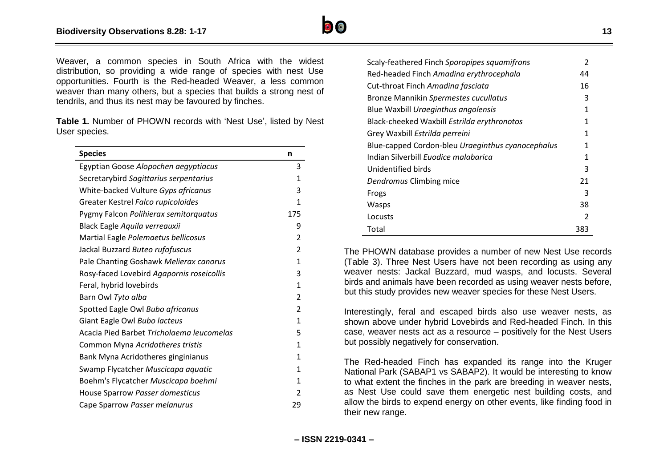

Weaver, a common species in South Africa with the widest distribution, so providing a wide range of species with nest Use opportunities. Fourth is the Red-headed Weaver, a less common weaver than many others, but a species that builds a strong nest of tendrils, and thus its nest may be favoured by finches.

**Table 1.** Number of PHOWN records with 'Nest Use', listed by Nest User species.

| <b>Species</b>                            | n              |
|-------------------------------------------|----------------|
| Egyptian Goose Alopochen aegyptiacus      | 3              |
| Secretarybird Sagittarius serpentarius    | 1              |
| White-backed Vulture Gyps africanus       | 3              |
| Greater Kestrel Falco rupicoloides        | 1              |
| Pygmy Falcon Polihierax semitorquatus     | 175            |
| Black Eagle Aquila verreauxii             | 9              |
| Martial Eagle Polemaetus bellicosus       | $\overline{2}$ |
| Jackal Buzzard Buteo rufofuscus           | $\overline{2}$ |
| Pale Chanting Goshawk Melierax canorus    | 1              |
| Rosy-faced Lovebird Agapornis roseicollis | 3              |
| Feral, hybrid lovebirds                   | 1              |
| Barn Owl Tyto alba                        | $\overline{2}$ |
| Spotted Eagle Owl Bubo africanus          | $\overline{2}$ |
| Giant Eagle Owl Bubo lacteus              | 1              |
| Acacia Pied Barbet Tricholaema leucomelas | 5              |
| Common Myna Acridotheres tristis          | 1              |
| Bank Myna Acridotheres ginginianus        | 1              |
| Swamp Flycatcher Muscicapa aquatic        | 1              |
| Boehm's Flycatcher Muscicapa boehmi       | 1              |
| House Sparrow Passer domesticus           | $\overline{2}$ |
| Cape Sparrow Passer melanurus             | 29             |

| Scaly-feathered Finch Sporopipes squamifrons      |     |  |
|---------------------------------------------------|-----|--|
| Red-headed Finch Amadina erythrocephala           | 44  |  |
| Cut-throat Finch Amadina fasciata                 | 16  |  |
| Bronze Mannikin Spermestes cucullatus             | 3   |  |
| Blue Waxbill Uraeginthus angolensis               | 1   |  |
| Black-cheeked Waxbill Estrilda erythronotos       | 1   |  |
| Grey Waxbill Estrilda perreini                    | 1   |  |
| Blue-capped Cordon-bleu Uraeginthus cyanocephalus | 1   |  |
| Indian Silverbill Euodice malabarica              | 1   |  |
| Unidentified birds                                | 3   |  |
| Dendromus Climbing mice                           | 21  |  |
| Frogs                                             | 3   |  |
| Wasps                                             | 38  |  |
| Locusts                                           | 2   |  |
| Total                                             | 383 |  |

The PHOWN database provides a number of new Nest Use records (Table 3). Three Nest Users have not been recording as using any weaver nests: Jackal Buzzard, mud wasps, and locusts. Several birds and animals have been recorded as using weaver nests before, but this study provides new weaver species for these Nest Users.

Interestingly, feral and escaped birds also use weaver nests, as shown above under hybrid Lovebirds and Red-headed Finch. In this case, weaver nests act as a resource – positively for the Nest Users but possibly negatively for conservation.

The Red-headed Finch has expanded its range into the Kruger National Park (SABAP1 vs SABAP2). It would be interesting to know to what extent the finches in the park are breeding in weaver nests, as Nest Use could save them energetic nest building costs, and allow the birds to expend energy on other events, like finding food in their new range.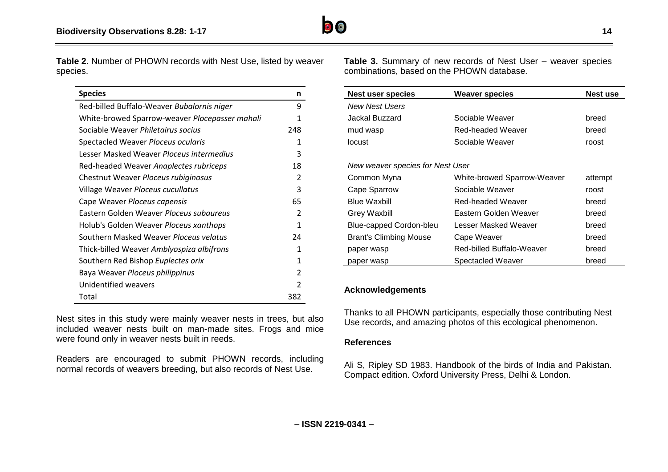

**Table 2.** Number of PHOWN records with Nest Use, listed by weaver species.

| <b>Species</b>                                 | n             |
|------------------------------------------------|---------------|
| Red-billed Buffalo-Weaver Bubalornis niger     | 9             |
| White-browed Sparrow-weaver Plocepasser mahali | 1             |
| Sociable Weaver Philetairus socius             | 248           |
| Spectacled Weaver Ploceus ocularis             | 1             |
| Lesser Masked Weaver Ploceus intermedius       | 3             |
| Red-headed Weaver Anaplectes rubriceps         | 18            |
| Chestnut Weaver Ploceus rubiginosus            | 2             |
| Village Weaver Ploceus cucullatus              | 3             |
| Cape Weaver Ploceus capensis                   | 65            |
| Eastern Golden Weaver Ploceus subgureus        | 2             |
| Holub's Golden Weaver Ploceus xanthops         | 1             |
| Southern Masked Weaver Ploceus velatus         | 24            |
| Thick-billed Weaver Amblyospiza albifrons      | 1             |
| Southern Red Bishop Euplectes orix             | 1             |
| Baya Weaver Ploceus philippinus                | $\mathcal{P}$ |
| Unidentified weavers                           | 2             |
| Total                                          | 382           |

Nest sites in this study were mainly weaver nests in trees, but also included weaver nests built on man-made sites. Frogs and mice were found only in weaver nests built in reeds.

Readers are encouraged to submit PHOWN records, including normal records of weavers breeding, but also records of Nest Use.

**Table 3.** Summary of new records of Nest User – weaver species combinations, based on the PHOWN database.

| <b>Nest user species</b>         | <b>Weaver species</b>       | <b>Nest use</b> |
|----------------------------------|-----------------------------|-----------------|
| <b>New Nest Users</b>            |                             |                 |
| Jackal Buzzard                   | Sociable Weaver             | breed           |
| mud wasp                         | Red-headed Weaver           | breed           |
| locust                           | Sociable Weaver             | roost           |
|                                  |                             |                 |
| New weaver species for Nest User |                             |                 |
| Common Myna                      | White-browed Sparrow-Weaver | attempt         |
| Cape Sparrow                     | Sociable Weaver             | roost           |
| <b>Blue Waxbill</b>              | Red-headed Weaver           | breed           |
| Grey Waxbill                     | Eastern Golden Weaver       | breed           |
| Blue-capped Cordon-bleu          | Lesser Masked Weaver        | breed           |
| <b>Brant's Climbing Mouse</b>    | Cape Weaver                 | breed           |
| paper wasp                       | Red-billed Buffalo-Weaver   | breed           |
| paper wasp                       | Spectacled Weaver           | breed           |

# **Acknowledgements**

Thanks to all PHOWN participants, especially those contributing Nest Use records, and amazing photos of this ecological phenomenon.

# **References**

Ali S, Ripley SD 1983. Handbook of the birds of India and Pakistan. Compact edition. Oxford University Press, Delhi & London.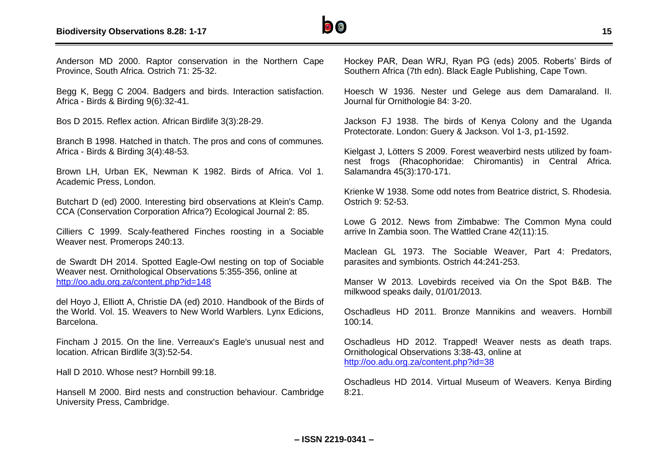

Anderson MD 2000. Raptor conservation in the Northern Cape Province, South Africa. Ostrich 71: 25-32.

Begg K, Begg C 2004. Badgers and birds. Interaction satisfaction. Africa - Birds & Birding 9(6):32-41.

Bos D 2015. Reflex action. African Birdlife 3(3):28-29.

Branch B 1998. Hatched in thatch. The pros and cons of communes. Africa - Birds & Birding 3(4):48-53.

Brown LH, Urban EK, Newman K 1982. Birds of Africa. Vol 1. Academic Press, London.

Butchart D (ed) 2000. Interesting bird observations at Klein's Camp. CCA (Conservation Corporation Africa?) Ecological Journal 2: 85.

Cilliers C 1999. Scaly-feathered Finches roosting in a Sociable Weaver nest. Promerops 240:13.

de Swardt DH 2014. Spotted Eagle-Owl nesting on top of Sociable Weaver nest. Ornithological Observations 5:355-356, online at <http://oo.adu.org.za/content.php?id=148>

del Hoyo J, Elliott A, Christie DA (ed) 2010. Handbook of the Birds of the World. Vol. 15. Weavers to New World Warblers. Lynx Edicions, Barcelona.

Fincham J 2015. On the line. Verreaux's Eagle's unusual nest and location. African Birdlife 3(3):52-54.

Hall D 2010. Whose nest? Hornbill 99:18.

Hansell M 2000. Bird nests and construction behaviour. Cambridge University Press, Cambridge.

Hockey PAR, Dean WRJ, Ryan PG (eds) 2005. Roberts' Birds of Southern Africa (7th edn). Black Eagle Publishing, Cape Town.

Hoesch W 1936. Nester und Gelege aus dem Damaraland. II. Journal für Ornithologie 84: 3-20.

Jackson FJ 1938. The birds of Kenya Colony and the Uganda Protectorate. London: Guery & Jackson. Vol 1-3, p1-1592.

Kielgast J, Lötters S 2009. Forest weaverbird nests utilized by foamnest frogs (Rhacophoridae: Chiromantis) in Central Africa. Salamandra 45(3):170-171.

Krienke W 1938. Some odd notes from Beatrice district, S. Rhodesia. Ostrich 9: 52-53.

Lowe G 2012. News from Zimbabwe: The Common Myna could arrive In Zambia soon. The Wattled Crane 42(11):15.

Maclean GL 1973. The Sociable Weaver, Part 4: Predators, parasites and symbionts. Ostrich 44:241-253.

Manser W 2013. Lovebirds received via On the Spot B&B. The milkwood speaks daily, 01/01/2013.

Oschadleus HD 2011. Bronze Mannikins and weavers. Hornbill 100:14.

Oschadleus HD 2012. Trapped! Weaver nests as death traps. Ornithological Observations 3:38-43, online at <http://oo.adu.org.za/content.php?id=38>

Oschadleus HD 2014. Virtual Museum of Weavers. Kenya Birding 8:21.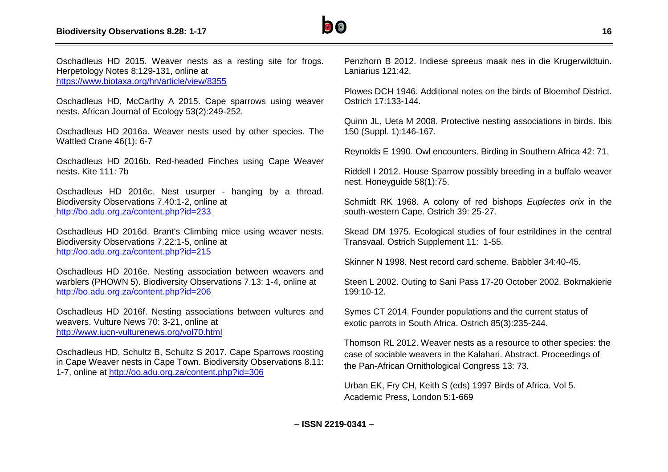

Oschadleus HD 2015. Weaver nests as a resting site for frogs. Herpetology Notes 8:129-131, online at <https://www.biotaxa.org/hn/article/view/8355>

Oschadleus HD, McCarthy A 2015. Cape sparrows using weaver nests. African Journal of Ecology 53(2):249-252.

Oschadleus HD 2016a. Weaver nests used by other species. The Wattled Crane 46(1): 6-7

Oschadleus HD 2016b. Red-headed Finches using Cape Weaver nests. Kite 111: 7b

Oschadleus HD 2016c. Nest usurper - hanging by a thread. Biodiversity Observations 7.40:1-2, online at <http://bo.adu.org.za/content.php?id=233>

Oschadleus HD 2016d. Brant's Climbing mice using weaver nests. Biodiversity Observations 7.22:1-5, online at <http://oo.adu.org.za/content.php?id=215>

Oschadleus HD 2016e. Nesting association between weavers and warblers (PHOWN 5). Biodiversity Observations 7.13: 1-4, online at <http://bo.adu.org.za/content.php?id=206>

Oschadleus HD 2016f. Nesting associations between vultures and weavers. Vulture News 70: 3-21, online at <http://www.iucn-vulturenews.org/vol70.html>

Oschadleus HD, Schultz B, Schultz S 2017. Cape Sparrows roosting in Cape Weaver nests in Cape Town. Biodiversity Observations 8.11: 1-7, online at<http://oo.adu.org.za/content.php?id=306>

Penzhorn B 2012. Indiese spreeus maak nes in die Krugerwildtuin. Laniarius 121:42.

Plowes DCH 1946. Additional notes on the birds of Bloemhof District. Ostrich 17:133-144.

Quinn JL, Ueta M 2008. Protective nesting associations in birds. Ibis 150 (Suppl. 1):146-167.

Reynolds E 1990. Owl encounters. Birding in Southern Africa 42: 71.

Riddell I 2012. House Sparrow possibly breeding in a buffalo weaver nest. Honeyguide 58(1):75.

Schmidt RK 1968. A colony of red bishops *Euplectes orix* in the south-western Cape. Ostrich 39: 25-27.

Skead DM 1975. Ecological studies of four estrildines in the central Transvaal. Ostrich Supplement 11: 1-55.

Skinner N 1998. Nest record card scheme. Babbler 34:40-45.

Steen L 2002. Outing to Sani Pass 17-20 October 2002. Bokmakierie 199:10-12.

Symes CT 2014. Founder populations and the current status of exotic parrots in South Africa. Ostrich 85(3):235-244.

Thomson RL 2012. Weaver nests as a resource to other species: the case of sociable weavers in the Kalahari. Abstract. Proceedings of the Pan-African Ornithological Congress 13: 73.

Urban EK, Fry CH, Keith S (eds) 1997 Birds of Africa. Vol 5. Academic Press, London 5:1-669

**– ISSN 2219-0341 –**